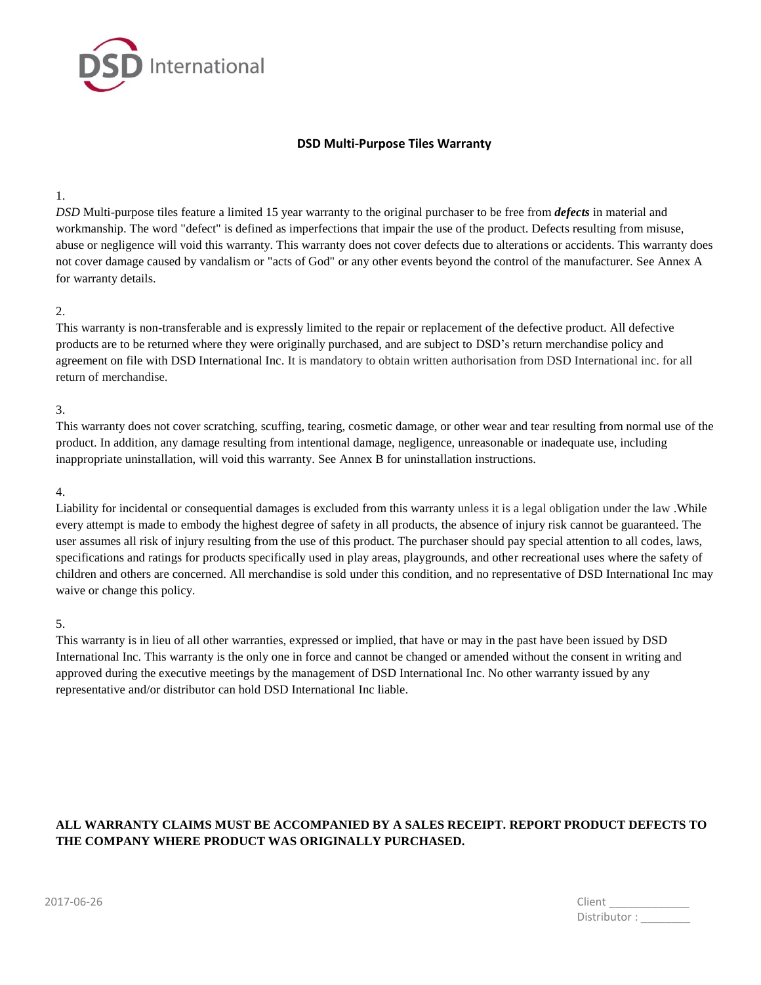

# **DSD Multi-Purpose Tiles Warranty**

### 1.

*DSD* Multi-purpose tiles feature a limited 15 year warranty to the original purchaser to be free from *defects* in material and workmanship. The word "defect" is defined as imperfections that impair the use of the product. Defects resulting from misuse, abuse or negligence will void this warranty. This warranty does not cover defects due to alterations or accidents. This warranty does not cover damage caused by vandalism or "acts of God" or any other events beyond the control of the manufacturer. See Annex A for warranty details.

## 2.

This warranty is non-transferable and is expressly limited to the repair or replacement of the defective product. All defective products are to be returned where they were originally purchased, and are subject to DSD's return merchandise policy and agreement on file with DSD International Inc. It is mandatory to obtain written authorisation from DSD International inc. for all return of merchandise.

#### 3.

This warranty does not cover scratching, scuffing, tearing, cosmetic damage, or other wear and tear resulting from normal use of the product. In addition, any damage resulting from intentional damage, negligence, unreasonable or inadequate use, including inappropriate uninstallation, will void this warranty. See Annex B for uninstallation instructions.

## 4.

Liability for incidental or consequential damages is excluded from this warranty unless it is a legal obligation under the law .While every attempt is made to embody the highest degree of safety in all products, the absence of injury risk cannot be guaranteed. The user assumes all risk of injury resulting from the use of this product. The purchaser should pay special attention to all codes, laws, specifications and ratings for products specifically used in play areas, playgrounds, and other recreational uses where the safety of children and others are concerned. All merchandise is sold under this condition, and no representative of DSD International Inc may waive or change this policy.

#### 5.

This warranty is in lieu of all other warranties, expressed or implied, that have or may in the past have been issued by DSD International Inc. This warranty is the only one in force and cannot be changed or amended without the consent in writing and approved during the executive meetings by the management of DSD International Inc. No other warranty issued by any representative and/or distributor can hold DSD International Inc liable.

# **ALL WARRANTY CLAIMS MUST BE ACCOMPANIED BY A SALES RECEIPT. REPORT PRODUCT DEFECTS TO THE COMPANY WHERE PRODUCT WAS ORIGINALLY PURCHASED.**

| 2017-06-26 | Client       |
|------------|--------------|
|            | Distributor: |